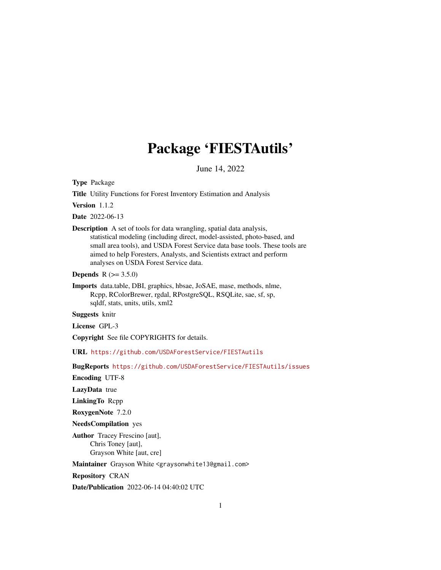## Package 'FIESTAutils'

June 14, 2022

<span id="page-0-0"></span>Type Package

Title Utility Functions for Forest Inventory Estimation and Analysis

Version 1.1.2

Date 2022-06-13

Description A set of tools for data wrangling, spatial data analysis, statistical modeling (including direct, model-assisted, photo-based, and small area tools), and USDA Forest Service data base tools. These tools are aimed to help Foresters, Analysts, and Scientists extract and perform analyses on USDA Forest Service data.

**Depends** R  $(>= 3.5.0)$ 

Imports data.table, DBI, graphics, hbsae, JoSAE, mase, methods, nlme, Rcpp, RColorBrewer, rgdal, RPostgreSQL, RSQLite, sae, sf, sp, sqldf, stats, units, utils, xml2

Suggests knitr

License GPL-3

Copyright See file COPYRIGHTS for details.

URL <https://github.com/USDAForestService/FIESTAutils>

BugReports <https://github.com/USDAForestService/FIESTAutils/issues>

Encoding UTF-8

LazyData true

LinkingTo Rcpp

RoxygenNote 7.2.0

NeedsCompilation yes

Author Tracey Frescino [aut], Chris Toney [aut], Grayson White [aut, cre]

Maintainer Grayson White <graysonwhite13@gmail.com>

Repository CRAN

Date/Publication 2022-06-14 04:40:02 UTC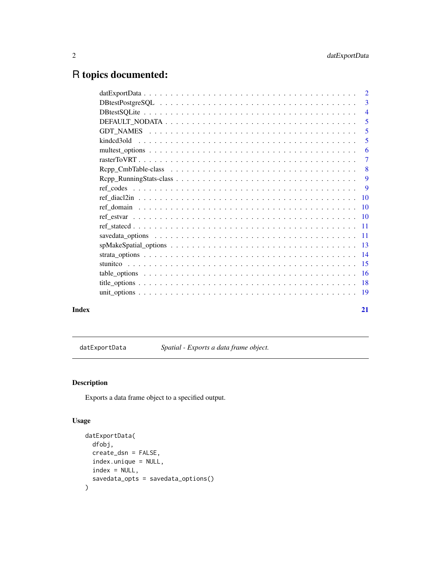## <span id="page-1-0"></span>R topics documented:

|       |    | -3             |
|-------|----|----------------|
|       |    |                |
|       |    | -5             |
|       |    | $\overline{5}$ |
|       |    | 5              |
|       |    | -6             |
|       |    |                |
|       |    |                |
|       |    |                |
|       |    |                |
|       |    |                |
|       |    |                |
|       |    |                |
|       |    |                |
|       |    |                |
|       |    |                |
|       |    |                |
|       |    |                |
|       |    |                |
|       |    |                |
|       |    |                |
|       |    |                |
| Index | 21 |                |

datExportData *Spatial - Exports a data frame object.*

## Description

Exports a data frame object to a specified output.

## Usage

```
datExportData(
 dfobj,
 create_dsn = FALSE,
 index.unique = NULL,
 index = NULL,savedata_opts = savedata_options()
\mathcal{L}
```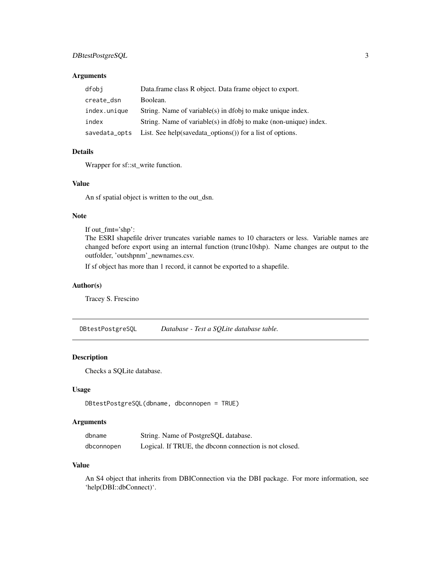## <span id="page-2-0"></span>DBtestPostgreSQL 3

## Arguments

| dfobi         | Data.frame class R object. Data frame object to export.          |
|---------------|------------------------------------------------------------------|
| create_dsn    | Boolean.                                                         |
| index.unique  | String. Name of variable(s) in dfobj to make unique index.       |
| index         | String. Name of variable(s) in dfobj to make (non-unique) index. |
| savedata_opts | List. See help(savedata_options()) for a list of options.        |

## Details

Wrapper for sf::st\_write function.

#### Value

An sf spatial object is written to the out\_dsn.

#### Note

```
If out_fmt='shp':
```
The ESRI shapefile driver truncates variable names to 10 characters or less. Variable names are changed before export using an internal function (trunc10shp). Name changes are output to the outfolder, 'outshpnm'\_newnames.csv.

If sf object has more than 1 record, it cannot be exported to a shapefile.

## Author(s)

Tracey S. Frescino

DBtestPostgreSQL *Database - Test a SQLite database table.*

## Description

Checks a SQLite database.

#### Usage

```
DBtestPostgreSQL(dbname, dbconnopen = TRUE)
```
#### Arguments

| dbname     | String. Name of PostgreSQL database.                   |
|------------|--------------------------------------------------------|
| dbconnopen | Logical. If TRUE, the dbconn connection is not closed. |

#### Value

An S4 object that inherits from DBIConnection via the DBI package. For more information, see 'help(DBI::dbConnect)'.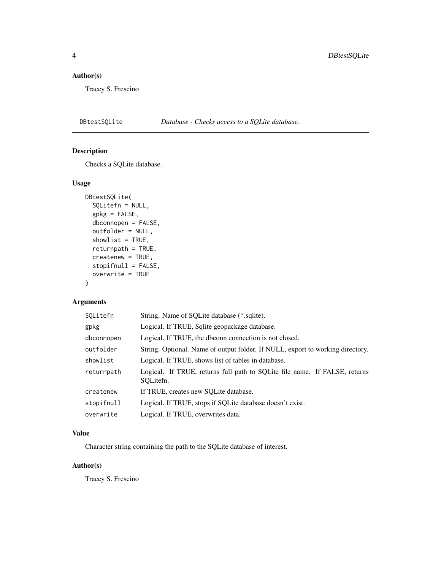## <span id="page-3-0"></span>Author(s)

Tracey S. Frescino

DBtestSQLite *Database - Checks access to a SQLite database.*

## Description

Checks a SQLite database.

## Usage

```
DBtestSQLite(
  SQLitefn = NULL,
  gpkg = FALSE,
  dbconnopen = FALSE,
  outfolder = NULL,
  showlist = TRUE,
  returnpath = TRUE,
  createnew = TRUE,
  stopifnull = FALSE,
  overwrite = TRUE
)
```
## Arguments

| SOLitefn   | String. Name of SQLite database (*.sqlite).                                             |  |  |
|------------|-----------------------------------------------------------------------------------------|--|--|
| gpkg       | Logical. If TRUE, Sqlite geopackage database.                                           |  |  |
| dbconnopen | Logical. If TRUE, the dbconn connection is not closed.                                  |  |  |
| outfolder  | String. Optional. Name of output folder. If NULL, export to working directory.          |  |  |
| showlist   | Logical. If TRUE, shows list of tables in database.                                     |  |  |
| returnpath | Logical. If TRUE, returns full path to SQLite file name. If FALSE, returns<br>SOLitefn. |  |  |
| createnew  | If TRUE, creates new SOLite database.                                                   |  |  |
| stopifnull | Logical. If TRUE, stops if SQLite database doesn't exist.                               |  |  |
| overwrite  | Logical. If TRUE, overwrites data.                                                      |  |  |

### Value

Character string containing the path to the SQLite database of interest.

#### Author(s)

Tracey S. Frescino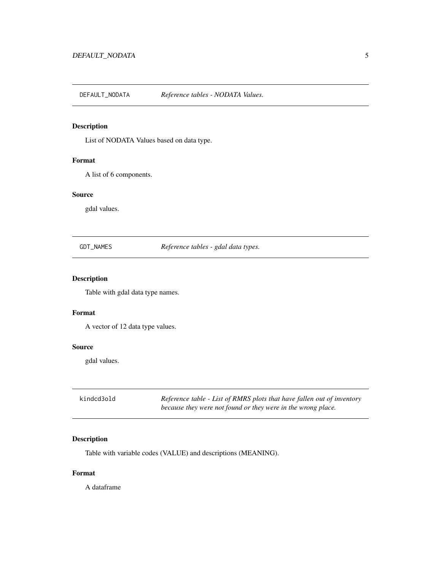<span id="page-4-0"></span>DEFAULT\_NODATA *Reference tables - NODATA Values.*

## Description

List of NODATA Values based on data type.

## Format

A list of 6 components.

#### Source

gdal values.

GDT\_NAMES *Reference tables - gdal data types.*

## Description

Table with gdal data type names.

## Format

A vector of 12 data type values.

#### Source

gdal values.

| kindcd3old | Reference table - List of RMRS plots that have fallen out of inventory |
|------------|------------------------------------------------------------------------|
|            | because they were not found or they were in the wrong place.           |

## Description

Table with variable codes (VALUE) and descriptions (MEANING).

## Format

A dataframe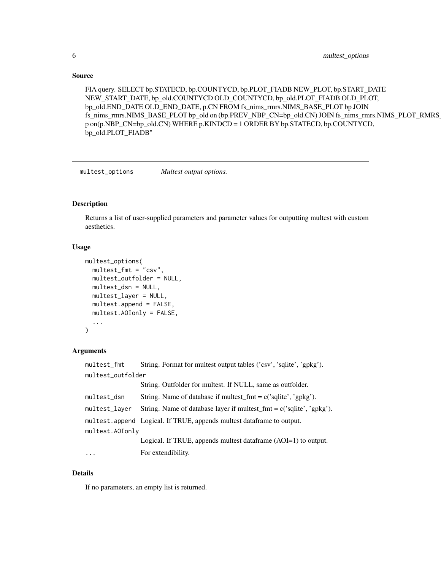#### <span id="page-5-0"></span>Source

FIA query. SELECT bp.STATECD, bp.COUNTYCD, bp.PLOT\_FIADB NEW\_PLOT, bp.START\_DATE NEW\_START\_DATE, bp\_old.COUNTYCD OLD\_COUNTYCD, bp\_old.PLOT\_FIADB OLD\_PLOT, bp\_old.END\_DATE OLD\_END\_DATE, p.CN FROM fs\_nims\_rmrs.NIMS\_BASE\_PLOT bp JOIN fs\_nims\_rmrs.NIMS\_BASE\_PLOT bp\_old on (bp.PREV\_NBP\_CN=bp\_old.CN) JOIN fs\_nims\_rmrs.NIMS\_PLOT\_RMRS\_VW p on(p.NBP\_CN=bp\_old.CN) WHERE p.KINDCD = 1 ORDER BY bp.STATECD, bp.COUNTYCD, bp\_old.PLOT\_FIADB"

multest\_options *Multest output options.*

#### Description

Returns a list of user-supplied parameters and parameter values for outputting multest with custom aesthetics.

#### Usage

```
multest_options(
  multest_fmt = "csv",
 multest_outfolder = NULL,
 multest_dsn = NULL,
 multest_layer = NULL,
 multest.append = FALSE,
 multest.AOIonly = FALSE,
  ...
\lambda
```
#### Arguments

```
multest_fmt String. Format for multest output tables ('csv', 'sqlite', 'gpkg').
multest_outfolder
                 String. Outfolder for multest. If NULL, same as outfolder.
multest_dsn String. Name of database if multest_fmt = c('sglite', 'gpkg').multest_layer String. Name of database layer if multest_fmt = c('sqlite', 'gpkg').
multest.append Logical. If TRUE, appends multest dataframe to output.
multest.AOIonly
                 Logical. If TRUE, appends multest dataframe (AOI=1) to output.
... For extendibility.
```
#### Details

If no parameters, an empty list is returned.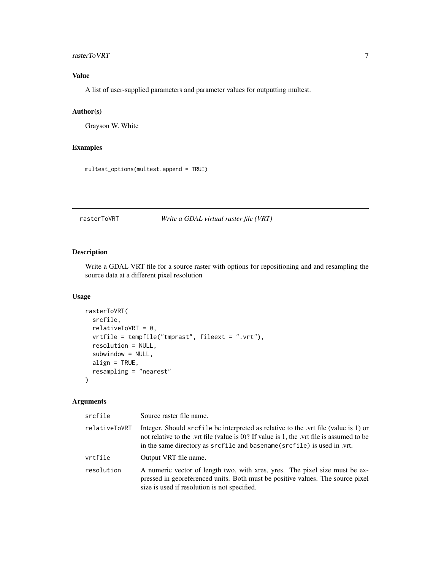## <span id="page-6-0"></span>rasterToVRT 7

## Value

A list of user-supplied parameters and parameter values for outputting multest.

## Author(s)

Grayson W. White

## Examples

multest\_options(multest.append = TRUE)

## rasterToVRT *Write a GDAL virtual raster file (VRT)*

#### Description

Write a GDAL VRT file for a source raster with options for repositioning and and resampling the source data at a different pixel resolution

## Usage

```
rasterToVRT(
  srcfile,
  relativeToVRT = 0,
  vrtfile = tempfile("tmprast", fileext = ".vrt"),
  resolution = NULL,
  subwindow = NULL,
  align = TRUE,
  resampling = "nearest"
\mathcal{L}
```

| srcfile       | Source raster file name.                                                                                                                                                                                                                                     |
|---------------|--------------------------------------------------------------------------------------------------------------------------------------------------------------------------------------------------------------------------------------------------------------|
| relativeToVRT | Integer. Should sncfile be interpreted as relative to the .vrt file (value is 1) or<br>not relative to the .vrt file (value is 0)? If value is 1, the .vrt file is assumed to be<br>in the same directory as srcfile and basename (srcfile) is used in .vrt. |
| vrtfile       | Output VRT file name.                                                                                                                                                                                                                                        |
| resolution    | A numeric vector of length two, with xres, yres. The pixel size must be ex-<br>pressed in georeferenced units. Both must be positive values. The source pixel<br>size is used if resolution is not specified.                                                |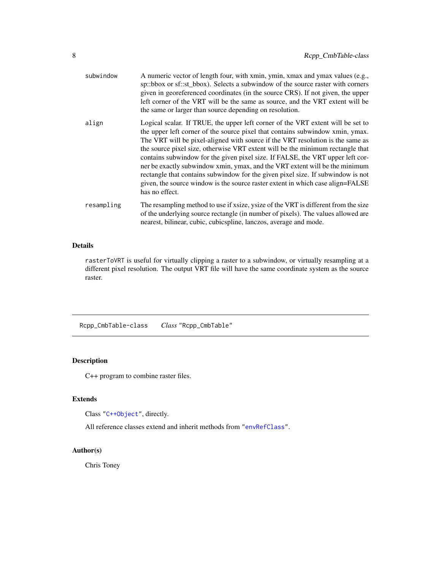<span id="page-7-0"></span>

| subwindow  | A numeric vector of length four, with xmin, ymin, xmax and ymax values (e.g.,<br>sp::bbox or sf::st_bbox). Selects a subwindow of the source raster with corners<br>given in georeferenced coordinates (in the source CRS). If not given, the upper<br>left corner of the VRT will be the same as source, and the VRT extent will be<br>the same or larger than source depending on resolution.                                                                                                                                                                                                                                                                                              |
|------------|----------------------------------------------------------------------------------------------------------------------------------------------------------------------------------------------------------------------------------------------------------------------------------------------------------------------------------------------------------------------------------------------------------------------------------------------------------------------------------------------------------------------------------------------------------------------------------------------------------------------------------------------------------------------------------------------|
| align      | Logical scalar. If TRUE, the upper left corner of the VRT extent will be set to<br>the upper left corner of the source pixel that contains subwindow xmin, ymax.<br>The VRT will be pixel-aligned with source if the VRT resolution is the same as<br>the source pixel size, otherwise VRT extent will be the minimum rectangle that<br>contains subwindow for the given pixel size. If FALSE, the VRT upper left cor-<br>ner be exactly subwindow xmin, ymax, and the VRT extent will be the minimum<br>rectangle that contains subwindow for the given pixel size. If subwindow is not<br>given, the source window is the source raster extent in which case align=FALSE<br>has no effect. |
| resampling | The resampling method to use if xsize, ysize of the VRT is different from the size<br>of the underlying source rectangle (in number of pixels). The values allowed are<br>nearest, bilinear, cubic, cubicspline, lanczos, average and mode.                                                                                                                                                                                                                                                                                                                                                                                                                                                  |

## Details

rasterToVRT is useful for virtually clipping a raster to a subwindow, or virtually resampling at a different pixel resolution. The output VRT file will have the same coordinate system as the source raster.

Rcpp\_CmbTable-class *Class* "Rcpp\_CmbTable"

## Description

C++ program to combine raster files.

## Extends

Class ["C++Object"](#page-0-0), directly.

All reference classes extend and inherit methods from ["envRefClass"](#page-0-0).

## Author(s)

Chris Toney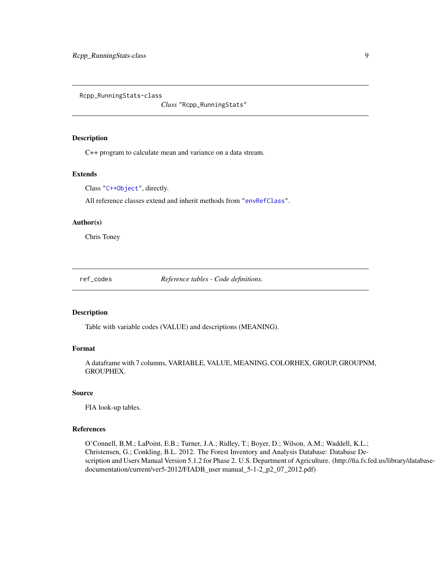<span id="page-8-0"></span>Rcpp\_RunningStats-class

*Class* "Rcpp\_RunningStats"

## Description

C++ program to calculate mean and variance on a data stream.

## Extends

Class ["C++Object"](#page-0-0), directly.

All reference classes extend and inherit methods from ["envRefClass"](#page-0-0).

#### Author(s)

Chris Toney

ref\_codes *Reference tables - Code definitions.*

#### Description

Table with variable codes (VALUE) and descriptions (MEANING).

## Format

A dataframe with 7 columns, VARIABLE, VALUE, MEANING, COLORHEX, GROUP, GROUPNM, GROUPHEX.

#### Source

FIA look-up tables.

#### References

O'Connell, B.M.; LaPoint, E.B.; Turner, J.A.; Ridley, T.; Boyer, D.; Wilson, A.M.; Waddell, K.L.; Christensen, G.; Conkling, B.L. 2012. The Forest Inventory and Analysis Database: Database Description and Users Manual Version 5.1.2 for Phase 2. U.S. Department of Agriculture. (http://fia.fs.fed.us/library/databasedocumentation/current/ver5-2012/FIADB\_user manual\_5-1-2\_p2\_07\_2012.pdf)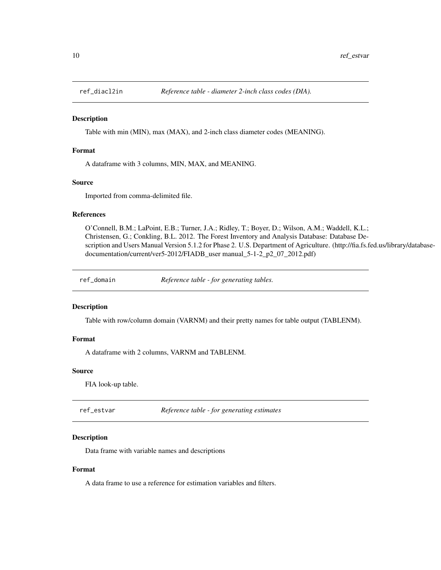<span id="page-9-0"></span>

## Description

Table with min (MIN), max (MAX), and 2-inch class diameter codes (MEANING).

## Format

A dataframe with 3 columns, MIN, MAX, and MEANING.

#### Source

Imported from comma-delimited file.

#### References

O'Connell, B.M.; LaPoint, E.B.; Turner, J.A.; Ridley, T.; Boyer, D.; Wilson, A.M.; Waddell, K.L.; Christensen, G.; Conkling, B.L. 2012. The Forest Inventory and Analysis Database: Database Description and Users Manual Version 5.1.2 for Phase 2. U.S. Department of Agriculture. (http://fia.fs.fed.us/library/databasedocumentation/current/ver5-2012/FIADB\_user manual\_5-1-2\_p2\_07\_2012.pdf)

ref\_domain *Reference table - for generating tables.*

#### Description

Table with row/column domain (VARNM) and their pretty names for table output (TABLENM).

#### Format

A dataframe with 2 columns, VARNM and TABLENM.

#### Source

FIA look-up table.

ref\_estvar *Reference table - for generating estimates*

#### Description

Data frame with variable names and descriptions

#### Format

A data frame to use a reference for estimation variables and filters.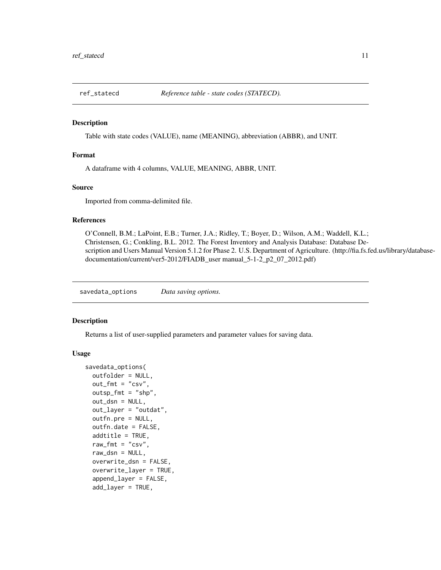<span id="page-10-0"></span>

#### Description

Table with state codes (VALUE), name (MEANING), abbreviation (ABBR), and UNIT.

#### Format

A dataframe with 4 columns, VALUE, MEANING, ABBR, UNIT.

#### Source

Imported from comma-delimited file.

#### References

O'Connell, B.M.; LaPoint, E.B.; Turner, J.A.; Ridley, T.; Boyer, D.; Wilson, A.M.; Waddell, K.L.; Christensen, G.; Conkling, B.L. 2012. The Forest Inventory and Analysis Database: Database Description and Users Manual Version 5.1.2 for Phase 2. U.S. Department of Agriculture. (http://fia.fs.fed.us/library/databasedocumentation/current/ver5-2012/FIADB\_user manual\_5-1-2\_p2\_07\_2012.pdf)

savedata\_options *Data saving options.*

#### **Description**

Returns a list of user-supplied parameters and parameter values for saving data.

#### Usage

```
savedata_options(
  outfolder = NULL,
  out\_fmt = "csv",outsp_fmt = "shp",
  out_dsn = NULL,
  out_layer = "outdat",
  outfn.pre = NULL,
  outfn.date = FALSE,
  addtitle = TRUE,
  raw_fmt = "csv".
  raw_dsn = NULL,
  overwrite_dsn = FALSE,
  overwrite_layer = TRUE,
  append_layer = FALSE,
  add_layer = TRUE,
```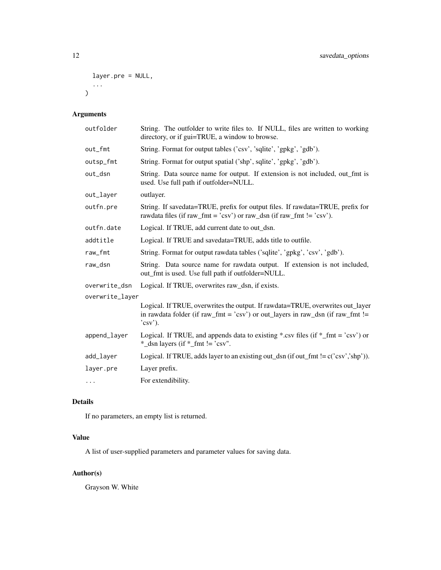```
layer.pre = NULL,
   ...
\overline{)}
```
## Arguments

| outfolder       | String. The outfolder to write files to. If NULL, files are written to working<br>directory, or if gui=TRUE, a window to browse.                                                             |  |  |
|-----------------|----------------------------------------------------------------------------------------------------------------------------------------------------------------------------------------------|--|--|
| out_fmt         | String. Format for output tables ('csv', 'sqlite', 'gpkg', 'gdb').                                                                                                                           |  |  |
| outsp_fmt       | String. Format for output spatial ('shp', sqlite', 'gpkg', 'gdb').                                                                                                                           |  |  |
| out_dsn         | String. Data source name for output. If extension is not included, out_fmt is<br>used. Use full path if outfolder=NULL.                                                                      |  |  |
| out_layer       | outlayer.                                                                                                                                                                                    |  |  |
| outfn.pre       | String. If savedata=TRUE, prefix for output files. If rawdata=TRUE, prefix for<br>rawdata files (if raw_fmt = 'csv') or raw_dsn (if raw_fmt != 'csv').                                       |  |  |
| outfn.date      | Logical. If TRUE, add current date to out_dsn.                                                                                                                                               |  |  |
| addtitle        | Logical. If TRUE and savedata=TRUE, adds title to outfile.                                                                                                                                   |  |  |
| raw_fmt         | String. Format for output rawdata tables ('sqlite', 'gpkg', 'csv', 'gdb').                                                                                                                   |  |  |
| raw_dsn         | String. Data source name for rawdata output. If extension is not included,<br>out_fmt is used. Use full path if outfolder=NULL.                                                              |  |  |
| overwrite_dsn   | Logical. If TRUE, overwrites raw_dsn, if exists.                                                                                                                                             |  |  |
| overwrite_layer |                                                                                                                                                                                              |  |  |
|                 | Logical. If TRUE, overwrites the output. If rawdata=TRUE, overwrites out_layer<br>in rawdata folder (if raw_fmt = 'csv') or out_layers in raw_dsn (if raw_fmt !=<br>$\gamma$ csv $\gamma$ ). |  |  |
| append_layer    | Logical. If TRUE, and appends data to existing *.csv files (if $*_{\text{f}}$ fmt = 'csv') or<br>$*_{\text{dsn}}$ layers (if $*_{\text{fmt}}$ != 'csv".                                      |  |  |
| add_layer       | Logical. If TRUE, adds layer to an existing out_dsn (if out_fmt != $c('csv', shp')$ ).                                                                                                       |  |  |
| layer.pre       | Layer prefix.                                                                                                                                                                                |  |  |
| $\cdots$        | For extendibility.                                                                                                                                                                           |  |  |

## Details

If no parameters, an empty list is returned.

## Value

A list of user-supplied parameters and parameter values for saving data.

## Author(s)

Grayson W. White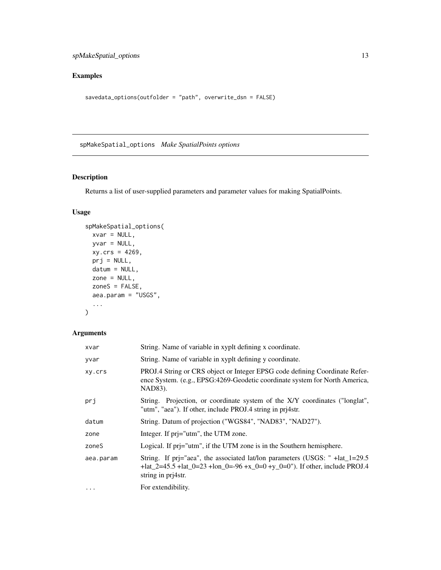## <span id="page-12-0"></span>Examples

```
savedata_options(outfolder = "path", overwrite_dsn = FALSE)
```
spMakeSpatial\_options *Make SpatialPoints options*

## Description

Returns a list of user-supplied parameters and parameter values for making SpatialPoints.

## Usage

```
spMakeSpatial_options(
 xvar = NULL,yvar = NULL,xy.crs = 4269,prj = NULL,
 datum = NULL,
 zone = NULL,
 zoneS = FALSE,
 aea.param = "USGS",
  ...
)
```

| xvar      | String. Name of variable in xyplt defining x coordinate.                                                                                                                          |
|-----------|-----------------------------------------------------------------------------------------------------------------------------------------------------------------------------------|
| yvar      | String. Name of variable in xyplt defining y coordinate.                                                                                                                          |
| xy.crs    | PROJ.4 String or CRS object or Integer EPSG code defining Coordinate Refer-<br>ence System. (e.g., EPSG:4269-Geodetic coordinate system for North America,<br>NAD83).             |
| prj       | String. Projection, or coordinate system of the X/Y coordinates ("longlat",<br>"utm", "aea"). If other, include PROJ.4 string in pri4str.                                         |
| datum     | String. Datum of projection ("WGS84", "NAD83", "NAD27").                                                                                                                          |
| zone      | Integer. If pri="utm", the UTM zone.                                                                                                                                              |
| zoneS     | Logical. If pri="utm", if the UTM zone is in the Southern hemisphere.                                                                                                             |
| aea.param | String. If prj="aea", the associated lat/lon parameters (USGS: "+lat_1=29.5")<br>+lat_2=45.5 +lat_0=23 +lon_0=-96 +x_0=0 +y_0=0"). If other, include PROJ.4<br>string in pri4str. |
| $\cdots$  | For extendibility.                                                                                                                                                                |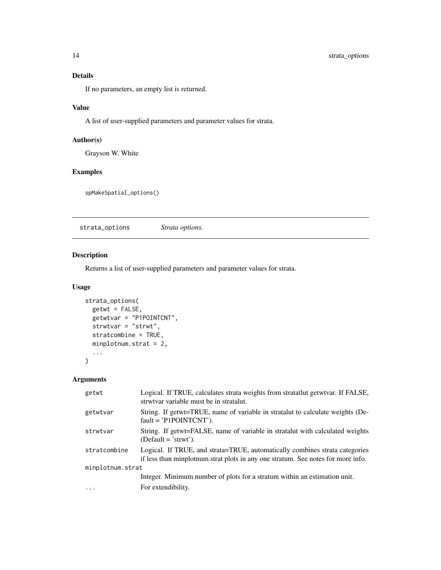## <span id="page-13-0"></span>Details

If no parameters, an empty list is returned.

## Value

A list of user-supplied parameters and parameter values for strata.

## Author(s)

Grayson W. White

## Examples

spMakeSpatial\_options()

strata\_options *Strata options.*

### Description

Returns a list of user-supplied parameters and parameter values for strata.

## Usage

```
strata_options(
 getwt = FALSE,
 getwtvar = "P1POINTCNT",
 strwtvar = "strwt",
 stratcombine = TRUE,
 minplotnum.strat = 2,
  ...
)
```

| getwt            | Logical. If TRUE, calculates strata weights from stratatlut getwtvar. If FALSE,<br>strwtvar variable must be in stratalut.                                      |
|------------------|-----------------------------------------------------------------------------------------------------------------------------------------------------------------|
| getwtvar         | String. If getwt=TRUE, name of variable in stratalut to calculate weights (De-<br>$fault = 'P1POINTCNT'.$                                                       |
| strwtvar         | String. If getwt=FALSE, name of variable in stratalut with calculated weights<br>$(Default = 'strwt').$                                                         |
| stratcombine     | Logical. If TRUE, and strata=TRUE, automatically combines strata categories<br>if less than minplotnum strat plots in any one stratum. See notes for more info. |
| minplotnum.strat |                                                                                                                                                                 |
|                  | Integer. Minimum number of plots for a stratum within an estimation unit.                                                                                       |
| $\cdots$         | For extendibility.                                                                                                                                              |
|                  |                                                                                                                                                                 |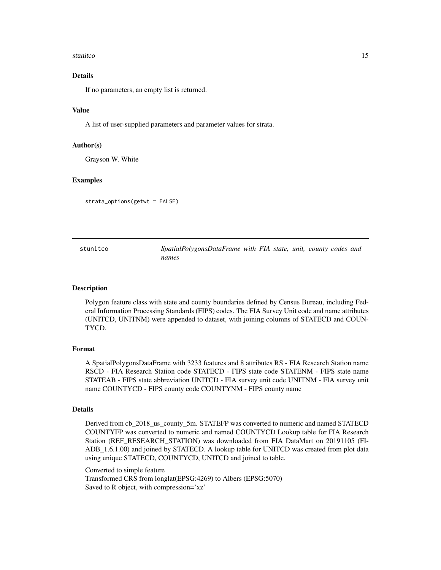#### <span id="page-14-0"></span>stunitco il 15

## Details

If no parameters, an empty list is returned.

## Value

A list of user-supplied parameters and parameter values for strata.

#### Author(s)

Grayson W. White

## Examples

strata\_options(getwt = FALSE)

| stunitco | SpatialPolygonsDataFrame with FIA state, unit, county codes and |  |  |  |
|----------|-----------------------------------------------------------------|--|--|--|
|          | names                                                           |  |  |  |

#### Description

Polygon feature class with state and county boundaries defined by Census Bureau, including Federal Information Processing Standards (FIPS) codes. The FIA Survey Unit code and name attributes (UNITCD, UNITNM) were appended to dataset, with joining columns of STATECD and COUN-TYCD.

#### Format

A SpatialPolygonsDataFrame with 3233 features and 8 attributes RS - FIA Research Station name RSCD - FIA Research Station code STATECD - FIPS state code STATENM - FIPS state name STATEAB - FIPS state abbreviation UNITCD - FIA survey unit code UNITNM - FIA survey unit name COUNTYCD - FIPS county code COUNTYNM - FIPS county name

#### Details

Derived from cb\_2018\_us\_county\_5m. STATEFP was converted to numeric and named STATECD COUNTYFP was converted to numeric and named COUNTYCD Lookup table for FIA Research Station (REF\_RESEARCH\_STATION) was downloaded from FIA DataMart on 20191105 (FI-ADB\_1.6.1.00) and joined by STATECD. A lookup table for UNITCD was created from plot data using unique STATECD, COUNTYCD, UNITCD and joined to table.

Converted to simple feature

Transformed CRS from longlat(EPSG:4269) to Albers (EPSG:5070) Saved to R object, with compression='xz'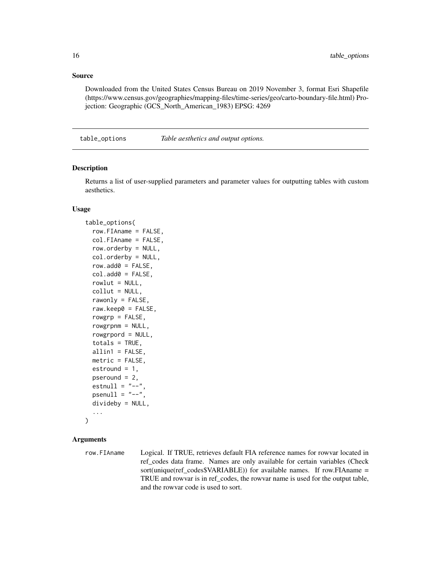#### <span id="page-15-0"></span>Source

Downloaded from the United States Census Bureau on 2019 November 3, format Esri Shapefile (https://www.census.gov/geographies/mapping-files/time-series/geo/carto-boundary-file.html) Projection: Geographic (GCS\_North\_American\_1983) EPSG: 4269

table\_options *Table aesthetics and output options.*

#### Description

Returns a list of user-supplied parameters and parameter values for outputting tables with custom aesthetics.

#### Usage

```
table_options(
  row.FIAname = FALSE,
  col.FIAname = FALSE,
  row.orderby = NULL,
  col.orderby = NULL,
  row.add0 = FALSE,col.add0 = FALSE,rowlut = NULL,collut = NULL,rawonly = FALSE,raw.keep0 = FALSE,
  rowgrp = FALSE,rowgrpnm = NULL,
  rowgrpord = NULL,
  totals = TRUE,allin1 = FALSE,
 metric = FALSE,estround = 1,
 pseround = 2,
  estnull = "--".psenull = "--",
  divideby = NULL,...
\mathcal{L}
```
## Arguments

row.FIAname Logical. If TRUE, retrieves default FIA reference names for rowvar located in ref codes data frame. Names are only available for certain variables (Check sort(unique(ref\_codes\$VARIABLE)) for available names. If row.FIAname = TRUE and rowvar is in ref\_codes, the rowvar name is used for the output table, and the rowvar code is used to sort.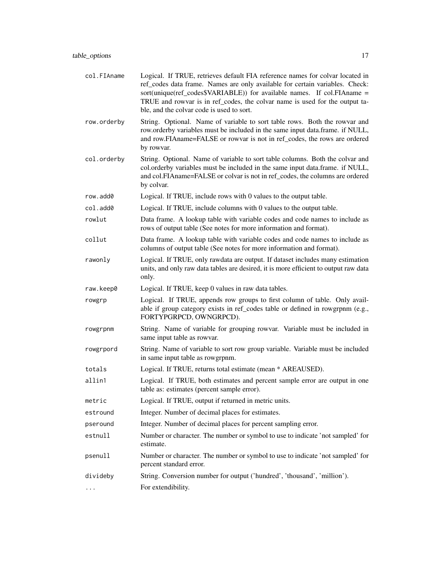| col.FIAname | Logical. If TRUE, retrieves default FIA reference names for colvar located in<br>ref_codes data frame. Names are only available for certain variables. Check:<br>sort(unique(ref_codes\$VARIABLE)) for available names. If col.FIAname =<br>TRUE and rowvar is in ref_codes, the colvar name is used for the output ta-<br>ble, and the colvar code is used to sort. |
|-------------|----------------------------------------------------------------------------------------------------------------------------------------------------------------------------------------------------------------------------------------------------------------------------------------------------------------------------------------------------------------------|
| row.orderby | String. Optional. Name of variable to sort table rows. Both the rowvar and<br>row.orderby variables must be included in the same input data.frame. if NULL,<br>and row.FIAname=FALSE or rowvar is not in ref_codes, the rows are ordered<br>by rowvar.                                                                                                               |
| col.orderby | String. Optional. Name of variable to sort table columns. Both the colvar and<br>col.orderby variables must be included in the same input data.frame. if NULL,<br>and col.FIAname=FALSE or colvar is not in ref_codes, the columns are ordered<br>by colvar.                                                                                                         |
| row.add0    | Logical. If TRUE, include rows with 0 values to the output table.                                                                                                                                                                                                                                                                                                    |
| col.add0    | Logical. If TRUE, include columns with 0 values to the output table.                                                                                                                                                                                                                                                                                                 |
| rowlut      | Data frame. A lookup table with variable codes and code names to include as<br>rows of output table (See notes for more information and format).                                                                                                                                                                                                                     |
| collut      | Data frame. A lookup table with variable codes and code names to include as<br>columns of output table (See notes for more information and format).                                                                                                                                                                                                                  |
| rawonly     | Logical. If TRUE, only rawdata are output. If dataset includes many estimation<br>units, and only raw data tables are desired, it is more efficient to output raw data<br>only.                                                                                                                                                                                      |
| raw.keep0   | Logical. If TRUE, keep 0 values in raw data tables.                                                                                                                                                                                                                                                                                                                  |
| rowgrp      | Logical. If TRUE, appends row groups to first column of table. Only avail-<br>able if group category exists in ref_codes table or defined in rowgrpnm (e.g.,<br>FORTYPGRPCD, OWNGRPCD).                                                                                                                                                                              |
| rowgrpnm    | String. Name of variable for grouping rowvar. Variable must be included in<br>same input table as rowvar.                                                                                                                                                                                                                                                            |
| rowgrpord   | String. Name of variable to sort row group variable. Variable must be included<br>in same input table as rowgrpnm.                                                                                                                                                                                                                                                   |
| totals      | Logical. If TRUE, returns total estimate (mean * AREAUSED).                                                                                                                                                                                                                                                                                                          |
| allin1      | Logical. If TRUE, both estimates and percent sample error are output in one<br>table as: estimates (percent sample error).                                                                                                                                                                                                                                           |
| metric      | Logical. If TRUE, output if returned in metric units.                                                                                                                                                                                                                                                                                                                |
| estround    | Integer. Number of decimal places for estimates.                                                                                                                                                                                                                                                                                                                     |
| pseround    | Integer. Number of decimal places for percent sampling error.                                                                                                                                                                                                                                                                                                        |
| estnull     | Number or character. The number or symbol to use to indicate 'not sampled' for<br>estimate.                                                                                                                                                                                                                                                                          |
| psenull     | Number or character. The number or symbol to use to indicate 'not sampled' for<br>percent standard error.                                                                                                                                                                                                                                                            |
| divideby    | String. Conversion number for output ('hundred', 'thousand', 'million').                                                                                                                                                                                                                                                                                             |
| .           | For extendibility.                                                                                                                                                                                                                                                                                                                                                   |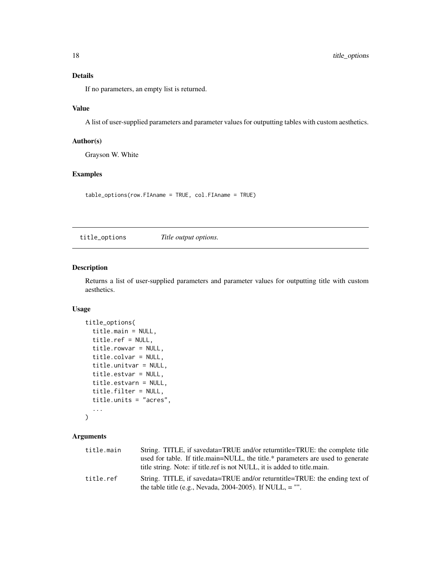## <span id="page-17-0"></span>Details

If no parameters, an empty list is returned.

## Value

A list of user-supplied parameters and parameter values for outputting tables with custom aesthetics.

## Author(s)

Grayson W. White

## Examples

table\_options(row.FIAname = TRUE, col.FIAname = TRUE)

title\_options *Title output options.*

#### Description

Returns a list of user-supplied parameters and parameter values for outputting title with custom aesthetics.

## Usage

```
title_options(
  title.main = NULL,
  title.ref = NULL,
  title.rowvar = NULL,
  title.colvar = NULL,
  title.unitvar = NULL,
  title.estvar = NULL,
  title.estvarn = NULL,
  title.filter = NULL,
  title.units = "acres",
  ...
\mathcal{L}
```

| title.main | String. TITLE, if savedata=TRUE and/or returntitle=TRUE: the complete title     |
|------------|---------------------------------------------------------------------------------|
|            | used for table. If title main=NULL, the title.* parameters are used to generate |
|            | title string. Note: if title.ref is not NULL, it is added to title.main.        |
| title.ref  | String. TITLE, if savedata=TRUE and/or returntitle=TRUE: the ending text of     |
|            | the table title (e.g., Nevada, 2004-2005). If NULL, $=$ "".                     |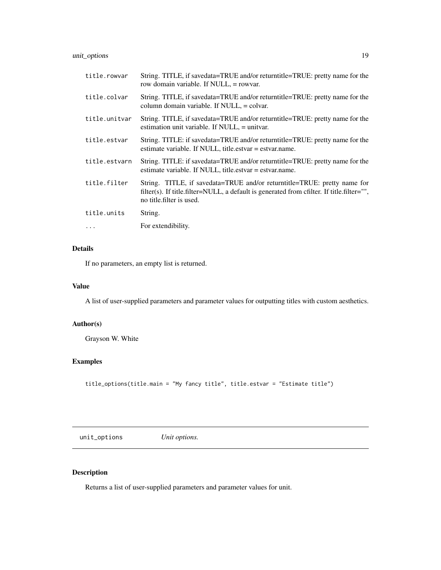## <span id="page-18-0"></span>unit\_options 19

| title.rowvar  | String. TITLE, if savedata=TRUE and/or returntitle=TRUE: pretty name for the<br>row domain variable. If NULL, = rowvar.                                                                           |
|---------------|---------------------------------------------------------------------------------------------------------------------------------------------------------------------------------------------------|
| title.colvar  | String. TITLE, if savedata=TRUE and/or returntitle=TRUE: pretty name for the<br>column domain variable. If NULL, = colvar.                                                                        |
| title.unitvar | String. TITLE, if savedata=TRUE and/or returntitle=TRUE: pretty name for the<br>estimation unit variable. If NULL, = unitvar.                                                                     |
| title.estvar  | String. TITLE: if savedata=TRUE and/or returntitle=TRUE: pretty name for the<br>estimate variable. If NULL, title.estvar = estvar.name.                                                           |
| title.estvarn | String. TITLE: if savedata=TRUE and/or returntitle=TRUE: pretty name for the<br>estimate variable. If NULL, title, est var = est var. name.                                                       |
| title.filter  | String. TITLE, if savedata=TRUE and/or returntitle=TRUE: pretty name for<br>filter(s). If title.filter=NULL, a default is generated from cfilter. If title.filter="",<br>no title filter is used. |
| title.units   | String.                                                                                                                                                                                           |
| $\cdots$      | For extendibility.                                                                                                                                                                                |

## Details

If no parameters, an empty list is returned.

## Value

A list of user-supplied parameters and parameter values for outputting titles with custom aesthetics.

## Author(s)

Grayson W. White

## Examples

```
title_options(title.main = "My fancy title", title.estvar = "Estimate title")
```
unit\_options *Unit options.*

## Description

Returns a list of user-supplied parameters and parameter values for unit.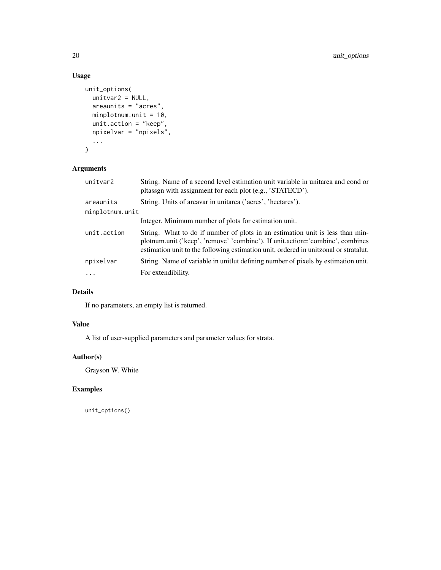## Usage

```
unit_options(
  unitvar2 = NULL,
  areaunits = "acres",
  minplotnum.unit = 10,
  unit.action = "keep",
  npixelvar = "npixels",
  ...
\mathcal{L}
```
## Arguments

| unitvar2        | String. Name of a second level estimation unit variable in unitarea and cond or<br>pltassgn with assignment for each plot (e.g., 'STATECD').                                                                                                           |  |
|-----------------|--------------------------------------------------------------------------------------------------------------------------------------------------------------------------------------------------------------------------------------------------------|--|
| areaunits       | String. Units of areavar in unitarea ('acres', 'hectares').                                                                                                                                                                                            |  |
| minplotnum.unit |                                                                                                                                                                                                                                                        |  |
|                 | Integer. Minimum number of plots for estimation unit.                                                                                                                                                                                                  |  |
| unit.action     | String. What to do if number of plots in an estimation unit is less than min-<br>plotnum.unit ('keep', 'remove' 'combine'). If unit.action='combine', combines<br>estimation unit to the following estimation unit, ordered in unitzonal or stratalut. |  |
| npixelvar       | String. Name of variable in unitlut defining number of pixels by estimation unit.                                                                                                                                                                      |  |
| .               | For extendibility.                                                                                                                                                                                                                                     |  |

## Details

If no parameters, an empty list is returned.

## Value

A list of user-supplied parameters and parameter values for strata.

## Author(s)

Grayson W. White

## Examples

unit\_options()